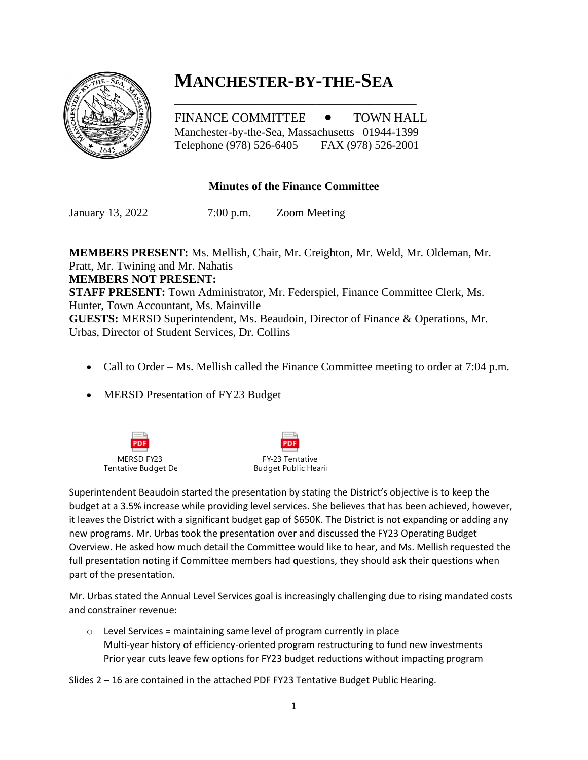## **MANCHESTER-BY-THE-SEA**

FINANCE COMMITTEE  $\bullet$  TOWN HALL Manchester-by-the-Sea, Massachusetts 01944-1399 Telephone (978) 526-6405 FAX (978) 526-2001

\_\_\_\_\_\_\_\_\_\_\_\_\_\_\_\_\_\_\_\_\_\_\_\_\_\_\_\_\_\_\_\_\_\_\_\_

## **Minutes of the Finance Committee**

January 13, 2022 7:00 p.m. Zoom Meeting

**MEMBERS PRESENT:** Ms. Mellish, Chair, Mr. Creighton, Mr. Weld, Mr. Oldeman, Mr. Pratt, Mr. Twining and Mr. Nahatis **MEMBERS NOT PRESENT: STAFF PRESENT:** Town Administrator, Mr. Federspiel, Finance Committee Clerk, Ms. Hunter, Town Accountant, Ms. Mainville **GUESTS:** MERSD Superintendent, Ms. Beaudoin, Director of Finance & Operations, Mr. Urbas, Director of Student Services, Dr. Collins

- Call to Order Ms. Mellish called the Finance Committee meeting to order at 7:04 p.m.
- MERSD Presentation of FY23 Budget





Superintendent Beaudoin started the presentation by stating the District's objective is to keep the budget at a 3.5% increase while providing level services. She believes that has been achieved, however, it leaves the District with a significant budget gap of \$650K. The District is not expanding or adding any new programs. Mr. Urbas took the presentation over and discussed the FY23 Operating Budget Overview. He asked how much detail the Committee would like to hear, and Ms. Mellish requested the full presentation noting if Committee members had questions, they should ask their questions when part of the presentation.

Mr. Urbas stated the Annual Level Services goal is increasingly challenging due to rising mandated costs and constrainer revenue:

 $\circ$  Level Services = maintaining same level of program currently in place Multi-year history of efficiency-oriented program restructuring to fund new investments Prior year cuts leave few options for FY23 budget reductions without impacting program

Slides 2 – 16 are contained in the attached PDF FY23 Tentative Budget Public Hearing.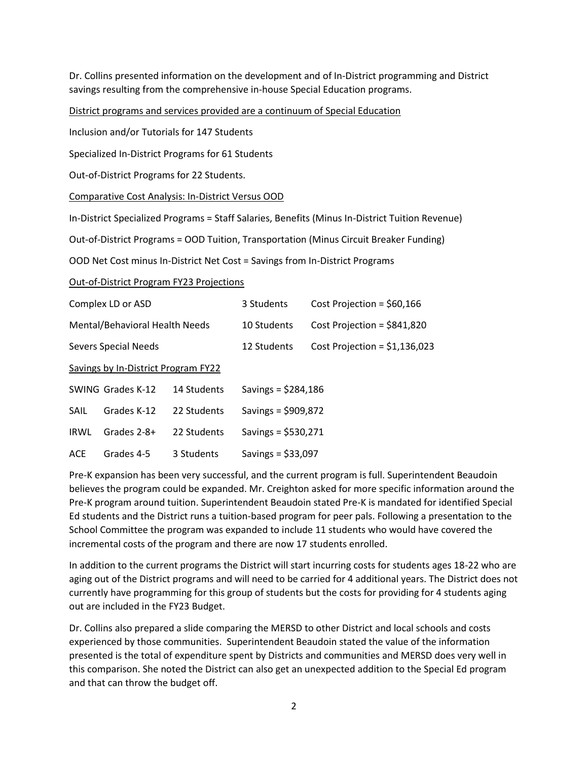Dr. Collins presented information on the development and of In-District programming and District savings resulting from the comprehensive in-house Special Education programs.

District programs and services provided are a continuum of Special Education

Inclusion and/or Tutorials for 147 Students

Specialized In-District Programs for 61 Students

Out-of-District Programs for 22 Students.

Comparative Cost Analysis: In-District Versus OOD

In-District Specialized Programs = Staff Salaries, Benefits (Minus In-District Tuition Revenue)

Out-of-District Programs = OOD Tuition, Transportation (Minus Circuit Breaker Funding)

OOD Net Cost minus In-District Net Cost = Savings from In-District Programs

Out-of-District Program FY23 Projections

| Complex LD or ASD                   |                   |             | 3 Students           | Cost Projection = $$60,166$    |
|-------------------------------------|-------------------|-------------|----------------------|--------------------------------|
| Mental/Behavioral Health Needs      |                   |             | 10 Students          | Cost Projection = $$841,820$   |
| <b>Severs Special Needs</b>         |                   |             | 12 Students          | Cost Projection = $$1,136,023$ |
| Savings by In-District Program FY22 |                   |             |                      |                                |
|                                     | SWING Grades K-12 | 14 Students | Savings = $$284,186$ |                                |
| SAIL                                | Grades K-12       | 22 Students | Savings = $$909,872$ |                                |
| <b>IRWL</b>                         | Grades 2-8+       | 22 Students | Savings = $$530,271$ |                                |
| <b>ACE</b>                          | Grades 4-5        | 3 Students  | Savings = $$33,097$  |                                |

Pre-K expansion has been very successful, and the current program is full. Superintendent Beaudoin believes the program could be expanded. Mr. Creighton asked for more specific information around the Pre-K program around tuition. Superintendent Beaudoin stated Pre-K is mandated for identified Special Ed students and the District runs a tuition-based program for peer pals. Following a presentation to the School Committee the program was expanded to include 11 students who would have covered the incremental costs of the program and there are now 17 students enrolled.

In addition to the current programs the District will start incurring costs for students ages 18-22 who are aging out of the District programs and will need to be carried for 4 additional years. The District does not currently have programming for this group of students but the costs for providing for 4 students aging out are included in the FY23 Budget.

Dr. Collins also prepared a slide comparing the MERSD to other District and local schools and costs experienced by those communities. Superintendent Beaudoin stated the value of the information presented is the total of expenditure spent by Districts and communities and MERSD does very well in this comparison. She noted the District can also get an unexpected addition to the Special Ed program and that can throw the budget off.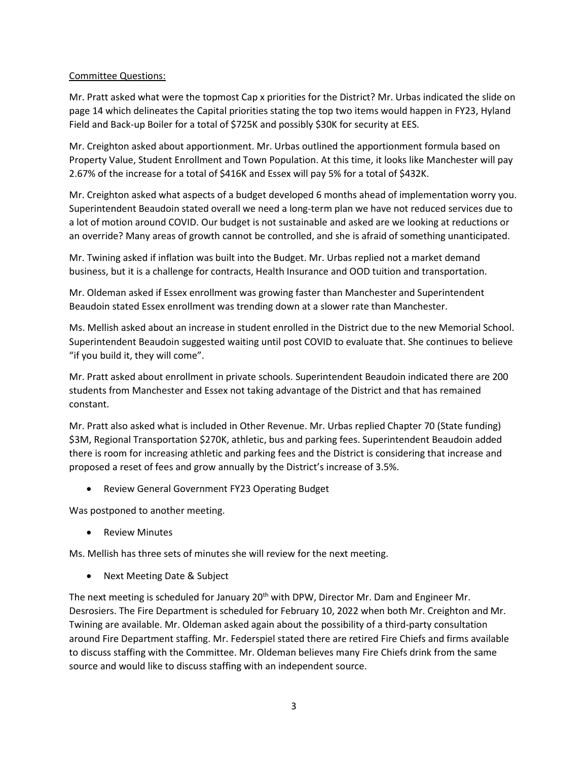## Committee Questions:

Mr. Pratt asked what were the topmost Cap x priorities for the District? Mr. Urbas indicated the slide on page 14 which delineates the Capital priorities stating the top two items would happen in FY23, Hyland Field and Back-up Boiler for a total of \$725K and possibly \$30K for security at EES.

Mr. Creighton asked about apportionment. Mr. Urbas outlined the apportionment formula based on Property Value, Student Enrollment and Town Population. At this time, it looks like Manchester will pay 2.67% of the increase for a total of \$416K and Essex will pay 5% for a total of \$432K.

Mr. Creighton asked what aspects of a budget developed 6 months ahead of implementation worry you. Superintendent Beaudoin stated overall we need a long-term plan we have not reduced services due to a lot of motion around COVID. Our budget is not sustainable and asked are we looking at reductions or an override? Many areas of growth cannot be controlled, and she is afraid of something unanticipated.

Mr. Twining asked if inflation was built into the Budget. Mr. Urbas replied not a market demand business, but it is a challenge for contracts, Health Insurance and OOD tuition and transportation.

Mr. Oldeman asked if Essex enrollment was growing faster than Manchester and Superintendent Beaudoin stated Essex enrollment was trending down at a slower rate than Manchester.

Ms. Mellish asked about an increase in student enrolled in the District due to the new Memorial School. Superintendent Beaudoin suggested waiting until post COVID to evaluate that. She continues to believe "if you build it, they will come".

Mr. Pratt asked about enrollment in private schools. Superintendent Beaudoin indicated there are 200 students from Manchester and Essex not taking advantage of the District and that has remained constant.

Mr. Pratt also asked what is included in Other Revenue. Mr. Urbas replied Chapter 70 (State funding) \$3M, Regional Transportation \$270K, athletic, bus and parking fees. Superintendent Beaudoin added there is room for increasing athletic and parking fees and the District is considering that increase and proposed a reset of fees and grow annually by the District's increase of 3.5%.

• Review General Government FY23 Operating Budget

Was postponed to another meeting.

**Review Minutes** 

Ms. Mellish has three sets of minutes she will review for the next meeting.

• Next Meeting Date & Subject

The next meeting is scheduled for January 20<sup>th</sup> with DPW, Director Mr. Dam and Engineer Mr. Desrosiers. The Fire Department is scheduled for February 10, 2022 when both Mr. Creighton and Mr. Twining are available. Mr. Oldeman asked again about the possibility of a third-party consultation around Fire Department staffing. Mr. Federspiel stated there are retired Fire Chiefs and firms available to discuss staffing with the Committee. Mr. Oldeman believes many Fire Chiefs drink from the same source and would like to discuss staffing with an independent source.